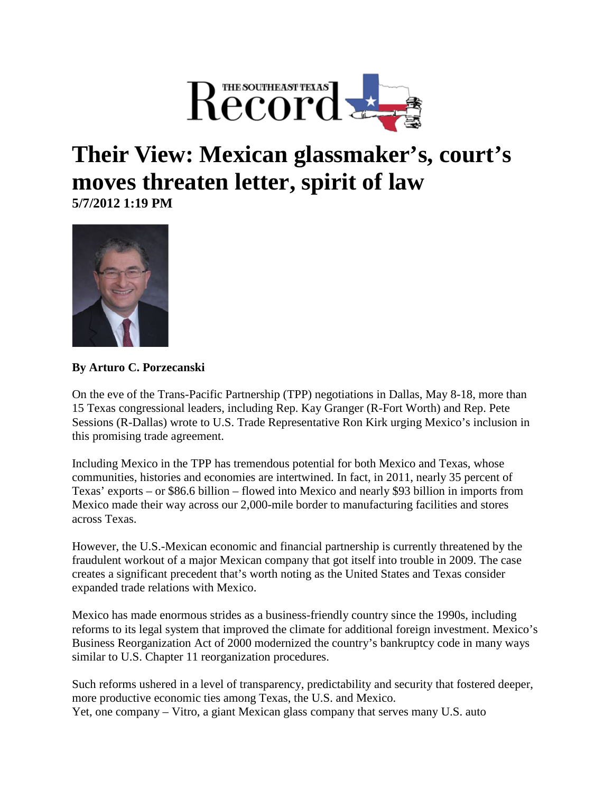

## **Their View: Mexican glassmaker's, court's moves threaten letter, spirit of law 5/7/2012 1:19 PM**



## **By Arturo C. Porzecanski**

On the eve of the Trans-Pacific Partnership (TPP) negotiations in Dallas, May 8-18, more than 15 Texas congressional leaders, including Rep. Kay Granger (R-Fort Worth) and Rep. Pete Sessions (R-Dallas) wrote to U.S. Trade Representative Ron Kirk urging Mexico's inclusion in this promising trade agreement.

Including Mexico in the TPP has tremendous potential for both Mexico and Texas, whose communities, histories and economies are intertwined. In fact, in 2011, nearly 35 percent of Texas' exports – or \$86.6 billion – flowed into Mexico and nearly \$93 billion in imports from Mexico made their way across our 2,000-mile border to manufacturing facilities and stores across Texas.

However, the U.S.-Mexican economic and financial partnership is currently threatened by the fraudulent workout of a major Mexican company that got itself into trouble in 2009. The case creates a significant precedent that's worth noting as the United States and Texas consider expanded trade relations with Mexico.

Mexico has made enormous strides as a business-friendly country since the 1990s, including reforms to its legal system that improved the climate for additional foreign investment. Mexico's Business Reorganization Act of 2000 modernized the country's bankruptcy code in many ways similar to U.S. Chapter 11 reorganization procedures.

Such reforms ushered in a level of transparency, predictability and security that fostered deeper, more productive economic ties among Texas, the U.S. and Mexico. Yet, one company – Vitro, a giant Mexican glass company that serves many U.S. auto